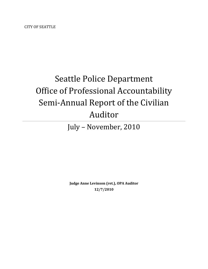CITY OF SEATTLE

# Seattle Police Department Office of Professional Accountability Semi-Annual Report of the Civilian Auditor

July – November, 2010

**Judge Anne Levinson (ret.), OPA Auditor 12/7/2010**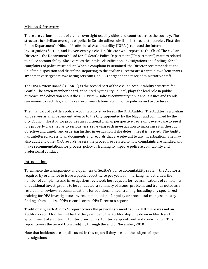#### Mission & Structure

There are various models of civilian oversight used by cities and counties across the country. The structure for civilian oversight of police in Seattle utilizes civilians in three distinct roles. First, the Police Department's Office of Professional Accountability ("OPA"), replaced the Internal Investigations Section, and is overseen by a civilian Director who reports to the Chief. The civilian Director is the Department's lead for all Seattle Police Department ("Department") matters related to police accountability. She oversees the intake, classification, investigations and findings for all complaints of police misconduct. When a complaint is sustained, the Director recommends to the Chief the disposition and discipline. Reporting to the civilian Director are a captain, two lieutenants, six detective sergeants, two acting sergeants, an EEO sergeant and three administrative staff.

The OPA Review Board ("OPARB") is the second part of the civilian accountability structure for Seattle. The seven-member board, appointed by the City Council, plays the lead role in public outreach and education about the OPA system, solicits community input about issues and trends, can review closed files, and makes recommendations about police policies and procedures.

The final part of Seattle's police accountability structure is the OPA Auditor. The Auditor is a civilian who serves as an independent advisor to the City, appointed by the Mayor and confirmed by the City Council. The Auditor provides an additional civilian perspective, reviewing every case to see if it is properly classified as to seriousness, reviewing each investigation to make sure it is thorough, objective and timely, and ordering further investigation if she determines it is needed. The Auditor has unfettered access to all documents and records that are relevant to any investigation. She may also audit any other OPA records, assess the procedures related to how complaints are handled and make recommendations for process, policy or training to improve police accountability and professional conduct.

#### **Introduction**

To enhance the transparency and openness of Seattle's police accountability system, the Auditor is required by ordinance to issue a public report twice per year, summarizing her activities; the number of complaints and investigations reviewed; her requests for reclassifications of complaints or additional investigations to be conducted; a summary of issues, problems and trends noted as a result of her reviews; recommendations for additional officer training, including any specialized training for OPA investigators; any recommendations for policy or procedural changes; and any findings from audits of OPA records or the OPA Director's reports.

Traditionally, each Auditor's report covers the previous six months. In 2010, there was not an Auditor's report for the first half of the year due to the Auditor stepping down in March and appointment of an interim Auditor prior to this Auditor's appointment and confirmation. This report covers the period from mid-July through the end of November, 2010.

Note that incidents are not discussed in this report if they are still the subject of open investigations.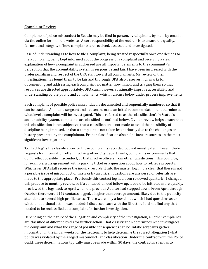#### Complaint Review

Complaints of police misconduct in Seattle may be filed in person, by telephone, by mail, by email or via the online form on the website. A core responsibility of the Auditor is to ensure the quality, fairness and integrity of how complaints are received, assessed and investigated.

Ease of understanding as to how to file a complaint, being treated respectfully once one decides to file a complaint, being kept informed about the progress of a complaint and receiving a clear explanation of how a complaint is addressed are all important elements to the community's perception that the accountability system is responsive and fair. I have been impressed with the professionalism and respect of the OPA staff toward all complainants. My review of their investigations has found them to be fair and thorough. OPA also deserves high marks for documenting and addressing each complaint, no matter how minor, and triaging them so that resources are directed appropriately. OPA can, however, continually improve accessibility and understanding by the public and complainants, which I discuss below under process improvements.

Each complaint of possible police misconduct is documented and sequentially numbered so that it can be tracked. An intake sergeant and lieutenant make an initial recommendation to determine at what level a complaint will be investigated. This is referred to as the 'classification'. In Seattle's accountability system, complaints are classified as outlined below. Civilian review helps ensure that this classification is not subjective, that a classification is not made to avoid the possibility of discipline being imposed, or that a complaint is not taken less seriously due to the challenges or history presented by the complainant. Proper classification also helps focus resources on the most significant investigations.

'Contact log' is the classification for those complaints recorded but not investigated. These include requests for information, often involving other City departments, complaints or comments that don't reflect possible misconduct, or that involve officers from other jurisdictions. This could be, for example, a disagreement with a parking ticket or a question about how to retrieve property. Whichever OPA staff receives the inquiry records it into the master log. If it is clear that there is not a possible issue of misconduct or mistake by an officer, questions are answered or referrals are made to the appropriate place. Previously this contact log had been reviewed quarterly. I changed this practice to monthly review, so if a contact did need follow up, it could be initiated more quickly. I reviewed the logs back to April when the previous Auditor had stepped down. From April through October there were 1149 contacts logged, a higher than average amount, likely due to the publicity attendant to several high profile cases. There were only a few about which I had questions as to whether additional action was needed; I discussed each with the Director. I did not find any that needed to be reclassified as a complaint for further investigation.

Depending on the nature of the allegation and complexity of the investigation, all other complaints are classified at different levels for further action. That classification determines who investigates the complaint and what the range of possible consequences can be. Intake sergeants gather information in the initial weeks for the lieutenant to help determine the correct allegation (what policy was violated by the alleged misconduct) and classification. Under the contract with the Police Guild, these determinations typically must be made within 30 days; the contract is silent as to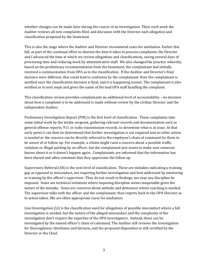whether changes can be made later during the course of an investigation. Then, each week the Auditor reviews all new complaints filed, and discusses with the Director each allegation and classification proposed by the lieutenant.

This is also the stage where the Auditor and Director recommend cases for mediation. Earlier this fall, as part of the continual effort to shorten the time it takes to process complaints, the Director and I advanced the time at which we review allegations and classifications, saving several days of processing time and reducing work by administrative staff. We also changed the practice whereby, based on the preliminary recommendation from the lieutenant, the complainant had initially received a communication from OPA as to the classification. If the Auditor and Director's final decision were different, that could lead to confusion by the complainant. Now the complainant is notified once the classification decision is final, and it is happening sooner. The complainant is also notified as to next steps and given the name of the lead OPA staff handling the complaint.

This classification review provides complainants an additional level of accountability – no decision about how a complaint is to be addressed is made without review by the civilian Director and the independent Auditor.

Preliminary Investigation Report (PIR) is the first level of classification. These complaints take some initial work by the intake sergeant, gathering relevant records and documentation such as general offense reports, 911 or radio transmission records, to determine what is at issue. At that early point it can then be determined that further investigation is not required and no other action is needed or the concern can be directly referred to the employee's chain of command for them to be aware of or follow up. For example, a citizen might raise a concern about a possible traffic violation or illegal parking by an officer, but the complainant just wants to make sure someone knows about it so it doesn't happen again. Complainants are informed that the information has been shared and often comment that they appreciate the follow up.

Supervisory Referral (SR) is the next level of classification. These are mistakes indicating a training gap as opposed to misconduct, not requiring further investigation and best addressed by mentoring or training by the officer's supervisor. They do not result in findings, nor may any discipline be imposed. Some are technical violations where imposing discipline seems inequitable given the nature of the mistake. Some are concerns about attitude and demeanor where coaching is needed. The supervisor talks with the officer and the complainant, then reports back to the OPA Director as to action taken. SRs are often appropriate cases for mediation.

Line Investigation (LI) is the classification used for allegations of possible misconduct where a full investigation is needed, but the nature of the alleged misconduct and the complexity of the investigation don't require the expertise of the OPA investigators. Instead, these can be investigated by the named officer's chain of command. The Auditor still reviews the investigation for thoroughness, timeliness and fairness, and the proposed disposition is still certified by the Director or the Chief.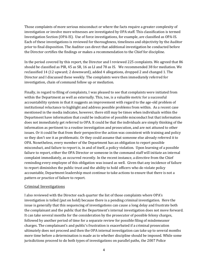Those complaints of more serious misconduct or where the facts require a greater complexity of investigation or involve more witnesses are investigated by OPA staff. This classification is termed Investigation Section (OPA-IS). Use of force investigations, for example, are classified as OPA-IS. Each of these investigations is reviewed for thoroughness, timeliness and objectivity by the Auditor prior to final disposition. The Auditor can direct that additional investigation be conducted before the Director certifies the findings or makes a recommendation to the Chief for discipline.

In the period covered by this report, the Director and I reviewed 225 complaints. We agreed that 86 should be classified as PIR, 45 as SR, 16 as LI and 78 as IS. We recommended 38 for mediation. We reclassified 14 (12 upward; 2 downward), added 4 allegations, dropped 2 and changed 1. The Director and I discussed these weekly. The complaints were then immediately referred for investigation, chain of command follow up or mediation.

Finally, in regard to filing of complaints, I was pleased to see that complaints were initiated from within the Department as well as externally. This, too, is a valuable metric for a successful accountability system in that it suggests an improvement with regard to the age-old problem of institutional reluctance to highlight and address possible problems from within. As a recent case mentioned in the media indicates, however, there still may be times when individuals within the Department have information that could be indicative of possible misconduct but that information does not immediately get referred to OPA. It could be that the individuals are simply thinking of the information as pertinent to a routine investigation and prosecution, and are not attuned to other issues. Or it could be that from their perspective the action was consistent with training and policy so they don't see it as problematic. Or they could assume that someone else already referred it to OPA. Nonetheless, every member of the Department has an obligation to report possible misconduct, and failure to report is, in and of itself, a policy violation. Upon learning of a possible failure to report, either the OPA Director or someone in the command staff will initiate an internal complaint immediately, as occurred recently. In the recent instance, a directive from the Chief reminding every employee of this obligation was issued as well. Given that any incidence of failure to report diminishes the public trust and the ability to hold officers who do violate policy accountable, Department leadership must continue to take actions to ensure that there is not a pattern or practice of failure to report.

#### Criminal Investigations

I also reviewed with the Director each quarter the list of those complaints where OPA's investigation is tolled (put on hold) because there is a pending criminal investigation. Here the issue is generally that this sequencing of investigations can cause a long delay and frustrate both the complainant and the public that the Department's internal investigation does not move forward. It can take several months for the consideration by the prosecutor of possible felony charges, followed by another period of time for a separate review for possible filing of misdemeanor charges. The complainant's and public's frustration is exacerbated if a criminal prosecution ultimately does not proceed and then the OPA internal investigation can take up to several months more time before a determination is made as to whether discipline should be imposed. While some jurisdictions proceed to do both types of investigations on parallel paths, the 2007 Police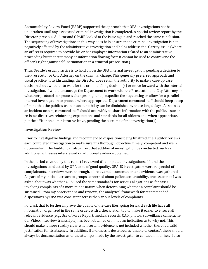Accountability Review Panel (PARP) supported the approach that OPA investigations not be undertaken until any associated criminal investigation is completed. A special review report by the Director, previous Auditor and OPARB looked at the issue again and reached the same conclusion. The sequencing of investigations in this way does help ensure that a criminal investigation is not negatively affected by the administrative investigation and helps address the 'Garrity' issue (where an officer is required to provide his or her employer information related to an administrative proceeding but that testimony or information flowing from it cannot be used to contravene the officer's right against self-incrimination in a criminal prosecution.)

Thus, Seattle's usual practice is to hold off on the OPA internal investigation, pending a decision by the Prosecutor or City Attorney on the criminal charge. This generally preferred approach and usual practice notwithstanding, the Director does retain the authority to make a case-by-case decision about whether to wait for the criminal filing decision(s) or move forward with the internal investigation. I would encourage the Department to work with the Prosecutor and City Attorney on whatever protocols or process changes might help expedite the sequencing or allow for a parallel internal investigation to proceed where appropriate. Department command staff should keep at top of mind that the public's trust in accountability can be diminished by these long delays. As soon as an incident occurs, command staff should act swiftly to share information with the public, issue or re-issue directives reinforcing expectations and standards for all officers and, when appropriate, put the officer on administrative leave, pending the outcome of the investigation(s).

#### Investigation Review

Prior to investigative findings and recommended dispositions being finalized, the Auditor reviews each completed investigation to make sure it is thorough, objective, timely, competent and welldocumented. The Auditor can also direct that additional investigation be conducted, such as additional witnesses interviewed or additional evidence obtained.

In the period covered by this report I reviewed 61 completed investigations. I found the investigations conducted by OPA to be of good quality. OPA-IS investigators were respectful of complainants, interviews were thorough, all relevant documentation and evidence was gathered. As part of my initial outreach to groups concerned about police accountability, one issue that I was asked about was whether OPA used the same standards for serious allegations as for cases involving complaints of a more minor nature when determining whether a complaint should be sustained. From my observations and reviews, the analytical framework for recommended dispositions by OPA was consistent across the various levels of complaints.

I did ask that to further improve the quality of the case files, going forward each file have all information organized in the same order, with a checklist on top to make it easier to ensure all relevant evidence (e.g., Use of Force Report, medical records, CAD, photos, surveillance camera, In-Car Video, interview transcripts) has been obtained or, if not, an indication as to why not. This should make it more readily clear when certain evidence is not included whether there is a valid justification for its absence. In addition, if a witness is described as 'unable to contact', there should always be documentation as to the attempts made by the investigator to contact him or her. I also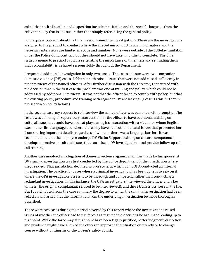asked that each allegation and disposition include the citation and the specific language from the relevant policy that is at issue, rather than simply referencing the general policy.

I did express concern about the timeliness of some Line Investigations. These are the investigations assigned to the precinct to conduct where the alleged misconduct is of a minor nature and the necessary interviews are limited in scope and number. None were outside of the 180-day limitation under the Police Guild contract, but they should not have taken months to complete. The Chief issued a memo to precinct captains reiterating the importance of timeliness and reminding them that accountability is a shared responsibility throughout the Department.

I requested additional investigation in only two cases. The cases at issue were two companion domestic violence (DV) cases. I felt that both raised issues that were not addressed sufficiently in the interviews of the named officers. After further discussion with the Director, I concurred with the decision that in the first case the problem was one of training and policy, which could not be addressed by additional interviews. It was not that the officer failed to comply with policy, but that the existing policy, procedure and training with regard to DV are lacking. (I discuss this further in the section on policy below.)

In the second case, my request to re-interview the named officer was complied with promptly. The result was a finding of Supervisory Intervention for the officer to have additional training on cultural issues that could have been at play during his interaction with a victim for whom English was not her first language and where there may have been other cultural issues that prevented her from sharing important details, regardless of whether there was a language barrier. It was recommended that the employee undergo DV Victim Support training on cultural competence, develop a directive on cultural issues that can arise in DV investigations, and provide follow up roll call training.

Another case involved an allegation of domestic violence against an officer made by his spouse. A DV criminal investigation was first conducted by the police department in the jurisdiction where they resided. That jurisdiction declined to prosecute, at which point OPA conducted an internal investigation. The practice for cases where a criminal investigation has been done is to rely on it where the OPA investigators assess it to be thorough and competent, rather than conducting a redundant investigation. In this instance, the OPA investigators interviewed the officer and a key witness (the original complainant refused to be interviewed), and these transcripts were in the file. But I could not tell from the case summary the degree to which the criminal investigation had been relied on and asked that the information from the underlying investigation be more thoroughly described.

There were two cases during the period covered by this report where the investigations raised issues of whether the officer had to use force as a result of the decisions he had made leading up to that point. While the force may at that point have been legally justified, better judgment, discretion and prudence might have allowed the officer to approach the situation differently or to change course without putting his or the citizen's safety at risk.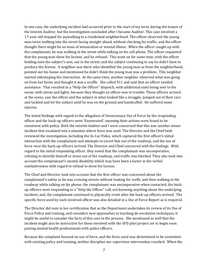In one case, the underlying incident had occurred prior to the start of my term, during the tenure of the interim Auditor, but the investigation concluded after I became Auditor. This case involved a 17-year old stopped for jaywalking in a residential neighborhood. The officer observed the young man twice walking into the street facing straight ahead, without checking for traffic, and the officer thought there might be an issue of intoxication or mental illness. When the officer caught up with the complainant, he was walking in the street while talking on his cell phone. The officer requested that the young man show his license, and he refused. This went on for some time, with the officer holding onto the subject's arm, out in the street, and the subject continuing to say he didn't have to produce the license. A neighbor was there who identified the young man as from the neighborhood, pointed out his house and mentioned he didn't think the young man was a problem. This neighbor started videotaping the interaction. At the same time, another neighbor observed what was going on from her home and thought it was a scuffle. She called 911 and said that an officer needed assistance. That resulted in a "Help the Officer" dispatch, with additional units being sent to the scene, with sirens and lights, because they thought an officer was in trouble. These officers arrived at the scene, saw the officer and the subject in what looked like a struggle, jumped out of their cars and tackled and hit the subject until he was on the ground and handcuffed. He suffered some injuries.

The initial findings with regard to the allegation of Unnecessary Use of Force by the responding officer and the back-up officers were 'Exonerated', meaning their actions were found to be consistent with policy. Both the interim Auditor and I were concerned that this was another minor incident that escalated into a situation where force was used. The Director and the Chief both reviewed the investigation, including the In-Car Video, which captured the first officer's initial interaction with the complainant and attempts to escort him out of the roadway, and the use of force once the back-up officers arrived. The Director and Chief concurred with the findings. With regard to the initial responding officer, they noted that the complainant was uncooperative, refusing to identify himself or move out of the roadway, and traffic was blocked. They also took into account the complainant's mental disability which may have been a factor in the verbal combativeness with regard to refusal to show his license.

The Chief and Director took into account that the first officer was concerned about the complainant's safety as he was crossing streets without looking for traffic and then walking in the roadway while talking on his phone; the complainant was uncooperative when contacted; the backup officers were responding to a "Help the Officer" call, not knowing anything about the underlying incident; and, the complainant continued to physically resist after the back-up officers arrived. The specific force used by each involved officer was also detailed in a Use of Force Report as is required.

The Director did note in her certification that as the Department undertakes its review of its Use of Force Policy and training, and considers new approaches to teaching de-escalation techniques, it might be useful to consider the facts of this case in the process. She mentioned as well that the incident might also be instructive for those involved with the SPD pilot project set to begin soon pairing mental health professionals with police officers.

Because the complaint focused on use of force, and the force used was determined to be consistent with existing policy and training, neither discipline nor supervisor intervention resulted. When the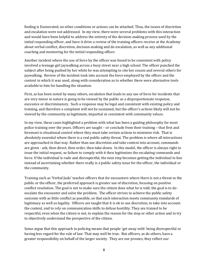finding is Exonerated, no other conditions or actions can be attached. Thus, the issues of discretion and escalation were not addressed. In my view, there were several problems with this interaction and would have been helpful to address the entirety of the decision-making process used by the initial responding officer, and have it drive a review of the training officers receive at the Academy about verbal conflict, discretion, decision-making and de-escalation, as well as any additional coaching and mentoring for the initial responding officer.

Another incident where the use of force by the officer was found to be consistent with policy involved a teenage girl jaywalking across a busy street near a high school. The officer punched the subject after being pushed by her while he was attempting to cite her cousin and several others for jaywalking. Review of the incident took into account the force employed by the officer and the context in which it was used, along with consideration as to whether there were alternative tools available to him for handling the situation.

First, as has been noted by many others, escalation that leads to any use of force for incidents that are very minor in nature is going to be viewed by the public as a disproportionate response, excessive or discriminatory. Such a response may be legal and consistent with existing policy and training, and therefore a complaint will not be sustained, but the officer's actions likely will not be viewed by the community as legitimate, impartial or consistent with community values.

In my view, these cases highlighted a problem with what has been a guiding philosophy for most police training over the years. Officers are taught – or conclude from their training – that first and foremost is situational control where they must take certain actions to minimize risk. That is absolutely essential where there is a real public safety threat. The problem is where all interactions are approached in that way. Rather than use discretion and take context into account, commands are given - ask, then direct, then order, then take-down. In this model, the officer is always right to issue the initial request, so failure to comply with it then legitimizes the escalating commands and force. If the individual is rude and disrespectful, the next step becomes getting the individual in line instead of ascertaining whether there really is a public safety issue for the officer, the individual or the community.

Training such as 'Verbal Judo' teaches officers that for encounters where there is not a threat to the public or the officer, the preferred approach is greater use of discretion, focusing on positive conflict resolution. The goal is not to make sure the citizen does what he is told; the goal is to deescalate the encounter and solve the problem. The officer strives to achieve the public safety outcome with as little conflict as possible, so that each interaction meets community standards of legitimacy as well as legality. Officers are taught that it is ok to use discretion, to take into account the context, and to rely on communication skills to defuse hostility. They are trained to be respectful, even when the citizen is not, to explain the reason for the stop or other action and to try to objectively understand the perspective of the citizen.

Some argue that this approach to policing means that people 'get away with' being disrespectful or having less regard for the rule of law. That may well be true. But officers, as do others, have a greater responsibility on behalf of the larger society. They are our proxies; they reflect our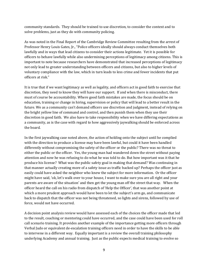community standards. They should be trained to use discretion, to consider the context and to solve problems, just as they do with community policing.

As was noted in the Final Report of the Cambridge Review Committee resulting from the arrest of Professor Henry Louis Gates, Jr., "Police officers ideally should always conduct themselves both lawfully and in ways that lead citizens to consider their actions legitimate. Yet it is possible for officers to behave lawfully while also undermining perceptions of legitimacy among citizens. This is important to note because researchers have demonstrated that increased perceptions of legitimacy not only lead to greater understanding between officers and citizens, but also to higher levels of voluntary compliance with the law, which in turn leads to less crime and fewer incidents that put officers at risk."

It is true that if we want legitimacy as well as legality, and officers act in good faith to exercise that discretion, they need to know they will have our support. If and when there is misconduct, there must of course be accountability. Where good faith mistakes are made, the focus should be on education, training or change in hiring, supervision or policy that will lead to a better result in the future. We as a community can't demand officers use discretion and judgment, instead of relying on the bright yellow line of command and control, and then punish them when they use their discretion in good faith. We also have to take responsibility when we have differing expectations as a community, as is the case with regard to how aggressively jaywalking should be enforced across the board.

In the first jaywalking case noted above, the action of holding onto the subject until he complied with the direction to produce a license may have been lawful, but could it have been handled differently without compromising the safety of the officer or the public? There was no threat to either the public or the officer. Yes, the young man had wandered down the street without paying attention and now he was refusing to do what he was told to do. But how important was it that he produce his license? What was the public safety goal in making that demand? Was continuing in that manner actually creating more of a safety issue as traffic backed up? Perhaps the officer just as easily could have asked the neighbor who knew the subject for more information. Or the officer might have said, 'ok, let's walk over to your house, I want to make sure you are all right and your parents are aware of the situation' and then get the young man off the street that way. When the officer heard the call on his radio from dispatch of 'Help the Officer', that was another point at which a more prudent approach would have been to let the subject's arm go, and communicate back to dispatch that the officer was not being threatened, so lights and sirens, followed by use of force, would not have occurred.

A decision point analysis review would have assessed each of the choices the officer made that led to the result, coaching or mentoring could have occurred, and the case could have been used for roll call scenario training. It provides another example of the importance getting more officers through Verbal Judo or equivalent de-escalation training officers need in order to have the skills to be able to intervene in a different way. Equally important is a review the overall training philosophy underlying Academy and annual training. Just as the public expects medical training to evolve so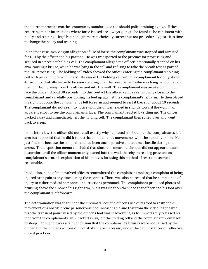that current practice matches community standards, so too should police training evolve. If these recurring minor interactions where force is used are always going to be found to be consistent with policy and training – legal but not legitimate, technically correct but not procedurally just - it is time to change the policy and training.

In another case involving an allegation of use of force, the complainant was stopped and arrested for DUI by the officer and his partner. He was transported to the precinct for processing and secured in a precinct holding cell. The complainant alleged the officer intentionally stepped on his arm, causing a bruise, while he was lying in the cell and refusing to take the breath test as part of the DUI processing. The holding cell video showed the officer entering the complainant's holding cell with pen and notepad in hand. He was in the holding cell with the complainant for only about 40 seconds. Initially he could be seen standing over the complainant, who was lying handcuffed on the floor facing away from the officer and into the wall. The complainant was awake but did not face the officer. About 30 seconds into this contact the officer can be seen moving closer to the complainant and carefully positioning his feet up against the complainant's left arm. He then placed his right foot onto the complainant's left forearm and seemed to rest it there for about 10 seconds. The complainant did not seem to notice until the officer leaned in slightly toward the wall in an apparent effort to see the complainant's face. The complainant reacted by sitting up. The officer backed away and immediately left the holding cell. The complainant then rolled over and went back to sleep.

In his interview, the officer did not recall exactly why he placed his foot onto the complainant's left arm but supposed that he did it to restrict complainant's movements while he stood over him. He justified this because the complainant had been uncooperative and at times hostile during the arrest. The disposition memo concluded that since this control technique did not appear to cause discomfort until the officer momentarily leaned into the wall, thereby increasing pressure on complainant's arm, his explanation of his motives for using this method of restraint seemed reasonable.

In addition, none of the involved officers remembered the complainant making a complaint of being injured or in pain at any time during their contact. There was also no record that he complained of injury to either medical personnel or corrections personnel. The complainant produced photos of bruising above the elbow of his right arm, but it was clear on the video that officer had his foot over the complainant's left forearm.

The determination was that under the circumstances, the officer's use of his foot to restrict the movement of a hostile prone prisoner was not unreasonable and that from the video it appeared that the transient pain caused by the officer's foot was inadvertent, as he immediately released his foot from the complainant's arm, backed away, left the holding cell and the complainant went back to sleep. I thought it was a fair conclusion that the complainant's bruises were not caused by the officer, but the officer's actions did not strike me as necessary under the circumstances or reflective of best practices.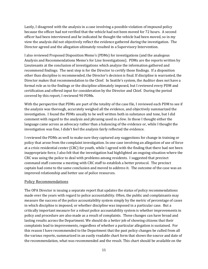Lastly, I disagreed with the analysis in a case involving a possible violation of impound policy because the officer had not verified that the vehicle had not been moved for 72 hours. A second officer had been interviewed and he indicated he thought the vehicle had been moved, so in my view the analysis did not objectively reflect the evidence gathered during the investigation. The Director agreed and the allegation ultimately resulted in a Supervisory Intervention.

I also reviewed Proposed Disposition Memo's (PDMs) for investigations (and the analogous Analysis and Recommendations Memo's for Line Investigations). PDMs are the reports written by Lieutenants at the conclusion of investigations which analyze the information gathered and recommend findings. The next step is for the Director to certify those findings. If a disposition other than discipline is recommended, the Director's decision is final. If discipline is warranted, the Director makes that recommendation to the Chief. In Seattle's system, the Auditor does not have a formal role as to the findings or the discipline ultimately imposed, but I reviewed every PDM and certification and offered input for consideration by the Director and Chief. During the period covered by this report, I reviewed 90 PDMs.

With the perspective that PDMs are part of the totality of the case file, I reviewed each PDM to see if the analysis was thorough, accurately weighed all the evidence, and objectively summarized the investigation. I found the PDMs usually to be well written both in substance and tone, but I did comment with regard to the analysis and phrasing used in a few. In those I thought either the language came across as advocacy rather than a balancing of the evidence or, while I thought the investigation was fine, I didn't feel the analysis fairly reflected the evidence.

I reviewed the PDMs as well to make sure they captured any suggestions for change in training or policy that arose from the complaint investigation. In one case involving an allegation of use of force at a crisis residential center (CRC) for youth, while I agreed with the finding that there had not been inappropriate force, I also felt that the investigation had highlighted an ongoing situation where the CRC was using the police to deal with problems among residents. I suggested that precinct command staff convene a meeting with CRC staff to establish a better protocol. The precinct captain had come to the same conclusion and moved to address it. The outcome of the case was an improved relationship and better use of police resources.

#### Policy Recommendations

The OPA Director is issuing a separate report that updates the status of policy recommendations made over the years with regard to police accountability. Often, the public and complainants may measure the success of the police accountability system simply by the metric of percentage of cases in which discipline is imposed, or whether discipline was imposed in a particular case. But a critically important measure for a robust police accountability system is whether improvements in policy and procedure are also made as a result of complaints. These changes can have broad and lasting results across the Department. We should do a better job of showing citizens that their complaints lead to improvements, regardless of whether a particular allegation is sustained. For this reason I have recommended to the Department that the past policy changes be culled from all the various reports, summarized in an easily readable chart form that shows the source and date of the recommendation, what was recommended and the result. This chart should be available on the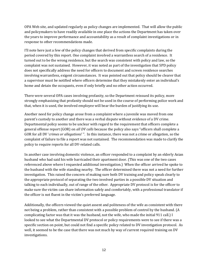OPA Web site, and updated regularly as policy changes are implemented. That will allow the public and policymakers to have readily available in one place the actions the Department has taken over the years to improve performance and accountability as a result of complaint investigations or in response to other recommendations made.

I'll note here just a few of the policy changes that derived from specific complaints during the period covered by this report. One complaint involved a warrantless search of a residence. It turned out to be the wrong residence, but the search was consistent with policy and law, so the complaint was not sustained. However, it was noted as part of the investigation that SPD policy does not specifically address the need for officers to document and screen residence searches involving warrantless, exigent circumstances. It was pointed out that policy should be clearer that a supervisor must be notified where officers determine that they mistakenly enter an individual's home and detain the occupants, even if only briefly and no other action occurred.

There were several OPA cases involving profanity, so the Department reissued its policy, more strongly emphasizing that profanity should not be used in the course of performing police work and that, when it is used, the involved employee will bear the burden of justifying its use.

Another need for policy change arose from a complaint where a juvenile was moved from one parent's custody to another and there was a verbal dispute without evidence of a DV crime. Departmental policy seems to be unclear with regard to the requirement that officers complete a general offense report (GOR) on *all DV calls* because the policy also says "officers shall complete a GOR for all DV '*crimes or allegations*' ". In this instance, there was not a crime or allegation, so the complaint of failure to file a report was not sustained. The recommendation was made to clarify the policy to require reports for all DV-related calls.

In another case involving domestic violence, an officer responded to a complaint by an elderly Asian husband who had said his wife barricaded their apartment door. (This was one of the two cases referenced above where I requested additional investigation.) When the officer arrived he spoke to the husband with the wife standing nearby. The officer determined there was not a need for further investigation. This raised the concern of making sure both DV training and policy speak clearly to the appropriate protocol of separating the two involved parties in a possible DV situation and talking to each individually, out of range of the other. Appropriate DV protocol is for the officer to make sure the victim can share information safely and comfortably, with a professional translator if the officer is not fluent in the victim's preferred language.

Additionally, the officers viewed the quiet assent and politeness of the wife as consistent with there not being a problem, rather than consistent with a possible problem of control by the husband. (A complicating factor was that it was the husband, not the wife, who made the initial 911 call.) I looked to see what the Departmental DV protocol or policy requirements were to see if there was a specific section on point, but could not find a specific policy related to DV investigation protocol. As well, it seemed to be the case that there was not much by way of current required training on DV investigations.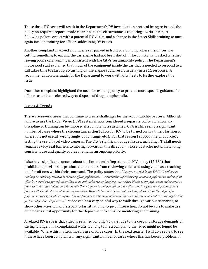These three DV cases will result in the Department's DV investigation protocol being re-issued, the policy on required reports made clearer as to the circumstances requiring a written report following police contact with a potential DV victim, and a change in the Street Skills training to once again include training for officers addressing DV issues.

Another complaint involved an officer's car parked in front of a building where the officer was getting something to eat and the car engine had not been shut off. The complainant asked whether leaving police cars running is consistent with the City's sustainability policy. The Department's motor pool staff explained that much of the equipment inside the car that is needed to respond to a call takes time to start up, so turning off the engine could result in delay in a 911 response. A recommendation was made for the Department to work with City fleets to further explore this issue.

One other complaint highlighted the need for existing policy to provide more specific guidance for officers as to the preferred way to dispose of drug paraphernalia.

### Issues & Trends

There are several areas that continue to create challenges for the accountability process. Although failure to use the In-Car Video (ICV) system is now considered a separate policy violation, and discipline or training can be imposed if a complaint is sustained, OPA is still seeing a significant number of cases where the circumstances don't allow for ICV to be turned on in a timely fashion or where it is not useful (wrong angle, out of range, etc.). For that reason I support the pilot project testing the use of lapel video cameras. The City's significant budget issues, including I.T. staff needs, remain as very real barriers to moving forward in this direction. Those obstacles notwithstanding, consistent use and quality of video remains an ongoing priority.

I also have significant concern about the limitation in Department's ICV policy (17.260) that prohibits supervisors or precinct commanders from reviewing video and using video as a teaching tool for officers within their command. The policy states that "*Imagery recorded by the DICVS will not be routinely or randomly reviewed to monitor officer performance. A commander/supervisor may conduct a performance review of an officer's recorded imagery only when there is an articulable reason justifying such review. Notice of the performance review must be provided to the subject officer and the Seattle Police Officers Guild (Guild), and the officer must be given the opportunity to be present with Guild representation during the review. Requests for copies of recorded incidents, which will be the subject of a performance review, should be approved by the precinct/section commander and directed to the commander of the Training Section for final approval and processing.*" Video can be a very helpful way to walk through various scenarios, to show other ways to handle a particular situation or type of interaction. To not be able to make use of it means a lost opportunity for the Department to enhance mentoring and training.

A related ICV issue is that video is retained for only 90 days, due to the cost and storage demands of saving it longer. If a complainant waits too long to file a complaint, the video might no longer be available. Where this matters most is use of force cases. In the next quarter I will do a review to see if there have been complaints in any significant number of cases where this has been a problem. If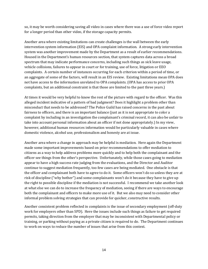so, it may be worth considering saving all video in cases where there was a use of force video report for a longer period than other video, if the storage capacity permits.

Another area where existing limitations can create challenges is the wall between the early intervention system information (EIS) and OPA complaint information. A strong early intervention system was another improvement made by the Department as a result of earlier recommendations. Housed in the Department's human resources section, that system captures data across a broad spectrum that may indicate performance concerns, including such things as sick leave usage, vehicle collisions, failures to appear in court or for training, use of force, litigation or EEO complaints. A certain number of instances occurring for each criterion within a period of time, or an aggregate of some of the factors, will result in an EIS review. Existing limitations mean OPA does not have access to the information unrelated to OPA complaints. (OPA has access to prior OPA complaints, but an additional constraint is that those are limited to the past three years.)

At times it would be very helpful to know the rest of the picture with regard to the officer. Was this alleged incident indicative of a pattern of bad judgment? Does it highlight a problem other than misconduct that needs to be addressed? The Police Guild has raised concerns in the past about fairness to officers, and there is an important balance (just as it is not appropriate to color a complaint by including in an investigation the complainant's criminal record, it can also be unfair to take into account personal information about an officer if not done appropriately.) In my view, however, additional human resources information would be particularly valuable in cases where domestic violence, alcohol use, professionalism and honesty are at issue.

Another area where a change in approach may be helpful is mediation. Here again the Department made some important improvements based on prior recommendations to offer mediation to citizens as a way to help address problems more quickly and to help both the complainant and the officer see things from the other's perspective. Unfortunately, while those cases going to mediation appear to have a high success rate judging from the evaluations, and the Director and Auditor continue to suggest mediation frequently, too few cases are being mediated. One obstacle is that the officer and complainant both have to agree to do it. Some officers won't do so unless they are at risk of discipline ("why bother") and some complainants won't do it because they have to give up the right to possible discipline if the mediation is not successful. I recommend we take another look at what else we can do to increase the frequency of mediation, seeing if there are ways to encourage both the complainant and officers to make more use of it. But we also may need to consider other informal problem solving strategies that can provide for quicker, constructive results.

Another consistent problem reflected in complaints is the issue of secondary employment (off-duty work for employers other than SPD). Here the issues include such things as failure to get required permits, taking direction from the employer that may be inconsistent with Departmental policy or training, or parking without paying as a private citizen is required to do. The Department continues to work on ways to reduce the number of issues that arise from this context.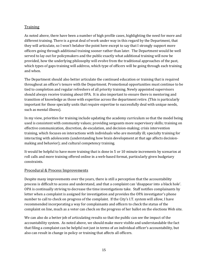## Training

As noted above, there have been a number of high profile cases, highlighting the need for more and different training. There is a great deal of work under way in this regard by the Department, that they will articulate, so I won't belabor the point here except to say that I strongly support more officers going through additional training sooner rather than later. The Department would be well served to lay out for policymakers and the public exactly what additional training will now be provided, how the underlying philosophy will evolve from the traditional approaches of the past, which types of gaps training will address, which type of officers will be going through each training and when.

The Department should also better articulate the continued education or training that is required throughout an officer's tenure with the Department. Promotional opportunities must continue to be tied to completion and regular refreshers of all priority training. Newly appointed supervisors should always receive training about OPA. It is also important to ensure there is mentoring and transition of knowledge as those with expertise across the department retire. (This is particularly important for those specialty units that require expertise to successfully deal with unique needs, such as mental illness).

In my view, priorities for training include updating the academy curriculum so that the model being used is consistent with community values; providing sergeants more supervisory skills; training on effective communication, discretion, de-escalation, and decision-making; crisis intervention training, which focuses on interactions with individuals who are mentally ill; specialty training for interacting with adolescents (understanding how brain development at that age affects decisionmaking and behavior); and cultural competency training.

It would be helpful to have more training that is done in 5 or 10 minute increments by scenarios at roll calls and more training offered online in a web-based format, particularly given budgetary constraints.

## Procedural & Process Improvements

Despite many improvements over the years, there is still a perception that the accountability process is difficult to access and understand, and that a complaint can 'disappear into a black hole'. OPA is continually striving to decrease the time investigations take. Staff notifies complainants by letter when a complaint is assigned for investigation and provides the OPA investigator's phone number to call to check on progress of the complaint. If the City's I.T. system will allow, I have recommended incorporating a way for complainants and officers to check the status of the complaint on line, much as a voter can check on the progress of her ballot on the elections Web site.

We can also do a better job of articulating results so that the public can see the impact of the accountability system. As noted above, we should make more visible and understandable the fact that filing a complaint can be helpful not just in terms of an individual officer's accountability, but also can result in change in policy or training that affects all officers.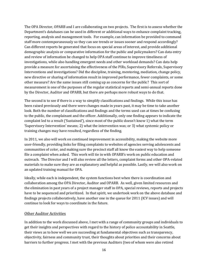The OPA Director, OPARB and I are collaborating on two projects. The first is to assess whether the Department's databases can be used in different or additional ways to enhance complaint tracking, reporting, analysis and management tools. For example, can information be provided to command staff more contemporaneously so they can see trends or issues sooner and respond accordingly? Can different reports be generated that focus on special areas of interest, and provide additional demographic analysis or comparative information for the public and policymakers? Can data entry and review of information be changed to help OPA staff continue to improve timeliness of investigations, while also handling emergent needs and other workload demands? Can data help provide a measure for ascertaining the effectiveness of the PIRs, Supervisory Referrals, Supervisory Interventions and investigations? Did the discipline, training, mentoring, mediation, change policy, new directive or sharing of information result in improved performance, fewer complaints, or some other measure? Are the same issues still coming up as concerns for the public? This sort of measurement is one of the purposes of the regular statistical reports and semi-annual reports done by the Director, Auditor and OPARB, but there are perhaps more robust ways to do that.

The second is to see if there is a way to simplify classifications and findings. While this issue has been raised previously and there were changes made in years past, it may be time to take another look. Both the number of classifications and findings and the terms used can at times be confusing to the public, the complainant and the officer. Additionally, only one finding appears to indicate the complaint led to a result ('Sustained'), since most of the public doesn't know 1) what the term 'Supervisory Intervention' means; 2) what the intervention was; or 3) what systemic policy or training changes may have resulted, regardless of the finding.

In 2011, we also will work on continued improvement in accessibility, making the website more user-friendly, providing links for filing complaints to websites of agencies serving adolescents and communities of color, and making sure the precinct staff all know the easiest way to help someone file a complaint when asked. This work will tie in with OPARB's work on public education and outreach. The Director and I will also review all the letters, complaint forms and other OPA-related materials to make sure they are as explanatory and helpful as possible. Lastly, we will also work on an updated training manual for OPA.

Ideally, while each is independent, the system functions best when there is coordination and collaboration among the OPA Director, Auditor and OPARB. As well, given limited resources and the elimination in past years of a project manager staff in OPA, special reviews, reports and projects have to be sequenced and prioritized. In that spirit, we undertook work on the above database and findings projects collaboratively, have another one in the queue for 2011 (ICV issues) and will continue to look for ways to coordinate in the future.

#### Other Auditor Activities

In addition to the work discussed above, I met with a range of community groups and individuals to get their insights and perspectives with regard to the history of police accountability in Seattle, their views as to how well we are succeeding at fundamental objectives such as transparency, objectivity, fairness and community trust, their thoughts about priorities and their concerns about barriers to further progress. I met with the previous Auditors (two of whom were also retired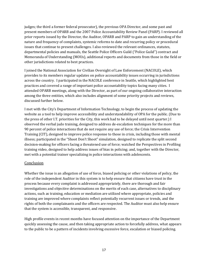judges; the third a former federal prosecutor), the previous OPA Director, and some past and present members of OPARB and the 2007 Police Accountability Review Panel (PARP). I reviewed all prior reports issued by the Director, the Auditor, OPARB and PARP to gain an understanding of the nature and frequency of complaints, systemic reforms to date and recurring policy or procedural issues that continue to present challenges. I also reviewed the relevant ordinances, statutes, departmental policies and manuals, the Seattle Police Officers Guild ("Police Guild") contract and Memoranda of Understanding (MOUs), additional reports and documents from those in the field or other jurisdictions related to best practices.

I joined the National Association for Civilian Oversight of Law Enforcement (NACOLE), which provides to its members regular updates on police accountability issues occurring in jurisdictions across the country. I participated in the NACOLE conference in Seattle, which highlighted best practices and covered a range of important police accountability topics facing many cities. I attended OPARB meetings, along with the Director, as part of our ongoing collaborative interaction among the three entities, which also includes alignment of some priority projects and reviews, discussed further below.

I met with the City's Department of Information Technology, to begin the process of updating the website as a tool to help improve accessibility and understandability of OPA for the public. (Due to the press of other I.T. priorities for the City, this work had to be delayed until next quarter.) I observed the verbal judo training, designed to address de-escalation techniques for the more than 90 percent of police interactions that do not require any use of force; the Crisis Intervention Training (CIT), designed to improve police response to those in crisis, including those with mental illness; participated in the "Shoot Don't Shoot" simulation, designed to replicate the split second decision-making for officers facing a threatened use of force; watched the Perspectives in Profiling training video, designed to help address issues of bias in policing; and, together with the Director, met with a potential trainer specializing in police interactions with adolescents.

#### Conclusion

Whether the issue is an allegation of use of force, biased policing or other violations of policy, the role of the independent Auditor in this system is to help ensure that citizens have trust in the process because every complaint is addressed appropriately, there are thorough and fair investigations and objective determinations on the merits of each case, alternatives to disciplinary actions, such as training, education or mediation are utilized where appropriate, policies and training are improved where complaints reflect potentially recurrent issues or trends, and the rights of both the complainants and the officers are respected. The Auditor must also help ensure that the system is accessible, transparent, and responsive.

High profile events in recent months have focused attention on the importance of the Department quickly assessing the cause, and then taking appropriate action to forcefully address, what appears to the public to be a pattern of incidents involving excessive force, escalation or biased policing.